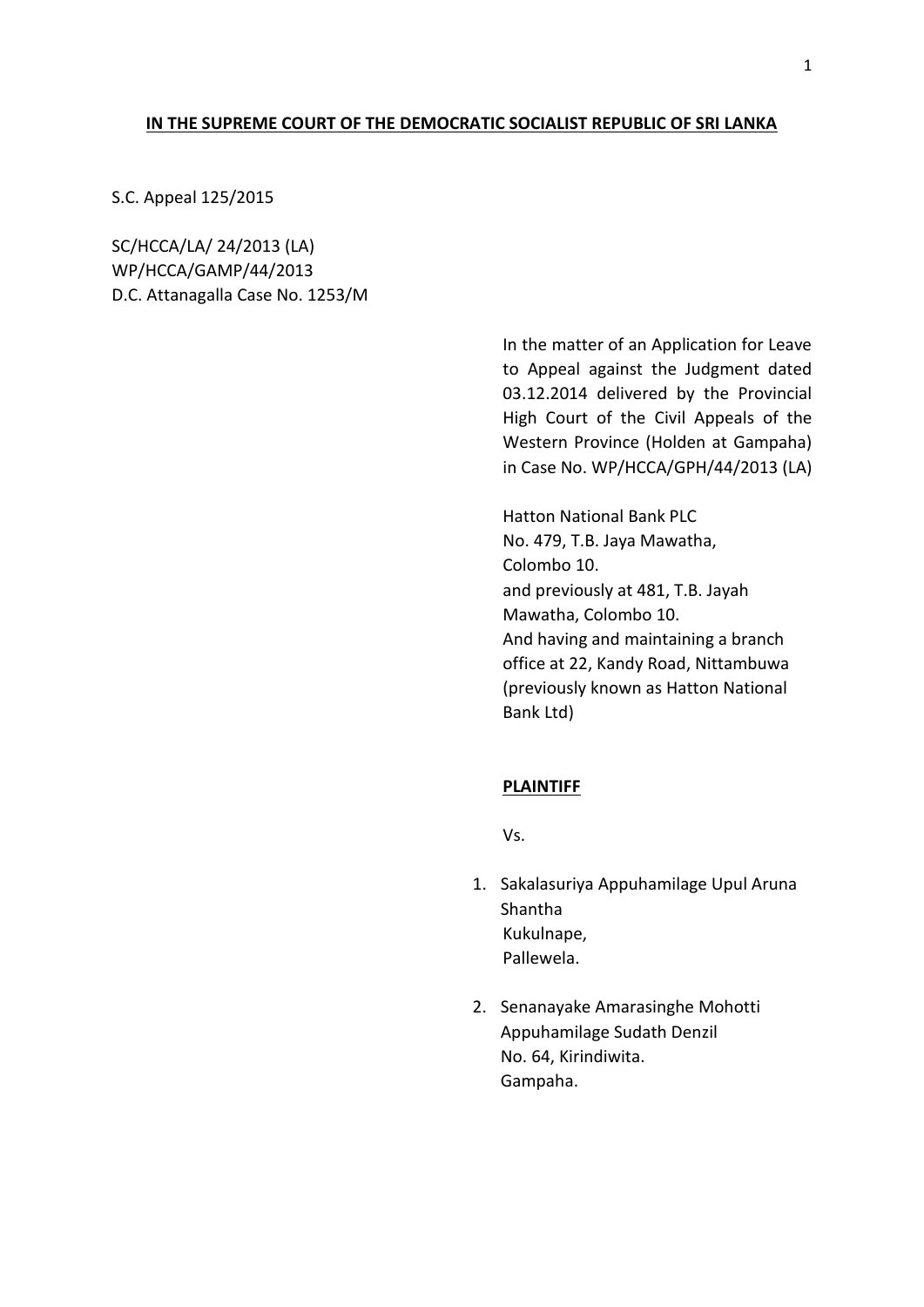### **IN THE SUPREME COURT OF THE DEMOCRATIC SOCIALIST REPUBLIC OF SRI LANKA**

S.C. Appeal 125/2015

SC/HCCA/LA/ 24/2013 (LA) WP/HCCA/GAMP/44/2013 D.C. Attanagalla Case No. 1253/M

> In the matter of an Application for Leave to Appeal against the Judgment dated 03.12.2014 delivered by the Provincial High Court of the Civil Appeals of the Western Province (Holden at Gampaha) in Case No. WP/HCCA/GPH/44/2013 (LA)

Hatton National Bank PLC No. 479, T.B. Jaya Mawatha, Colombo 10. and previously at 481, T.B. Jayah Mawatha, Colombo 10. And having and maintaining a branch office at 22, Kandy Road, Nittambuwa (previously known as Hatton National Bank Ltd)

### **PLAINTIFF**

Vs.

- 1. Sakalasuriya Appuhamilage Upul Aruna Shantha Kukulnape, Pallewela.
- 2. Senanayake Amarasinghe Mohotti Appuhamilage Sudath Denzil No. 64, Kirindiwita. Gampaha.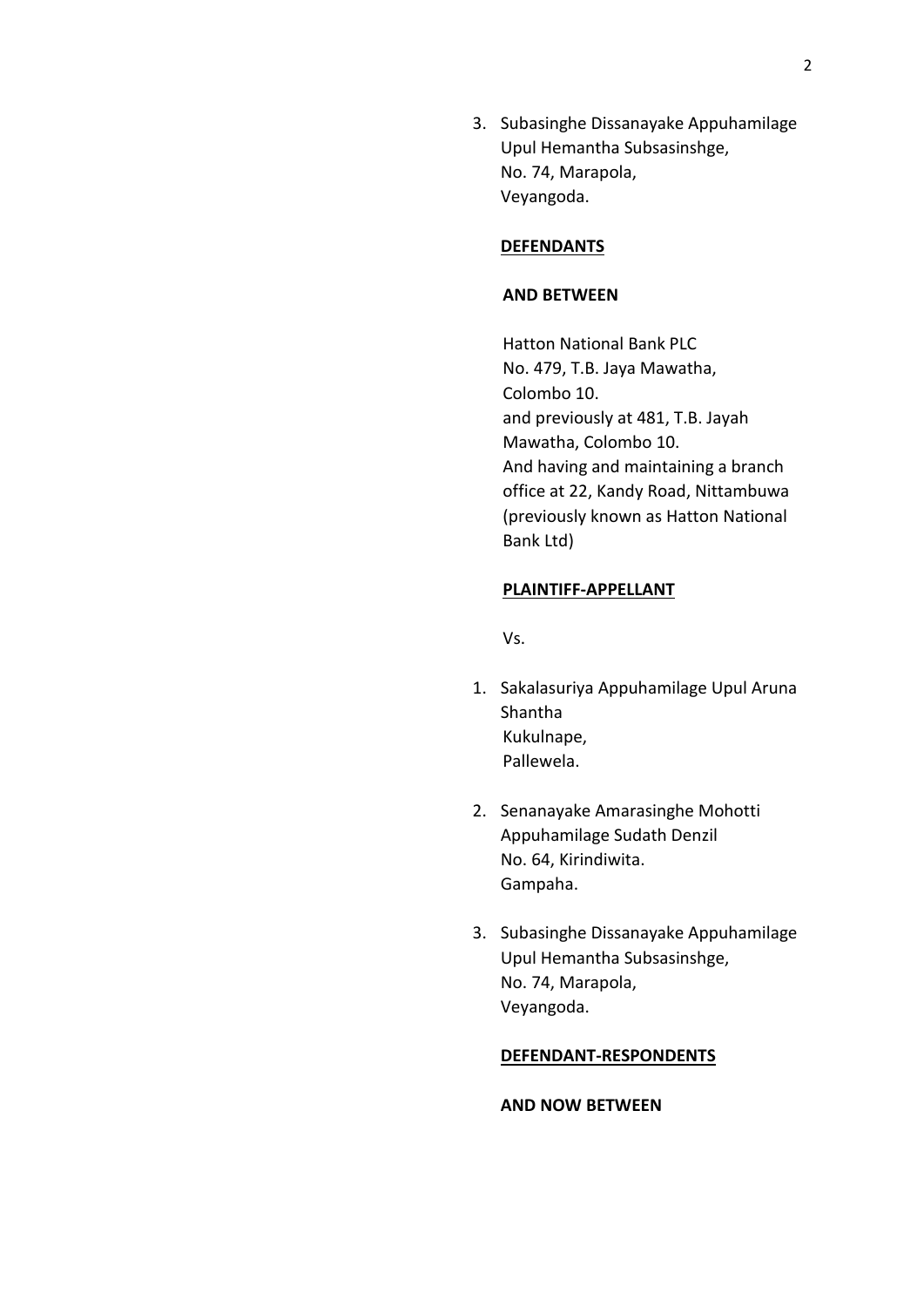3. Subasinghe Dissanayake Appuhamilage Upul Hemantha Subsasinshge, No. 74, Marapola, Veyangoda.

### **DEFENDANTS**

#### **AND BETWEEN**

Hatton National Bank PLC No. 479, T.B. Jaya Mawatha, Colombo 10. and previously at 481, T.B. Jayah Mawatha, Colombo 10. And having and maintaining a branch office at 22, Kandy Road, Nittambuwa (previously known as Hatton National Bank Ltd)

### **PLAINTIFF-APPELLANT**

Vs.

- 1. Sakalasuriya Appuhamilage Upul Aruna Shantha Kukulnape, Pallewela.
- 2. Senanayake Amarasinghe Mohotti Appuhamilage Sudath Denzil No. 64, Kirindiwita. Gampaha.
- 3. Subasinghe Dissanayake Appuhamilage Upul Hemantha Subsasinshge, No. 74, Marapola, Veyangoda.

### **DEFENDANT-RESPONDENTS**

**AND NOW BETWEEN**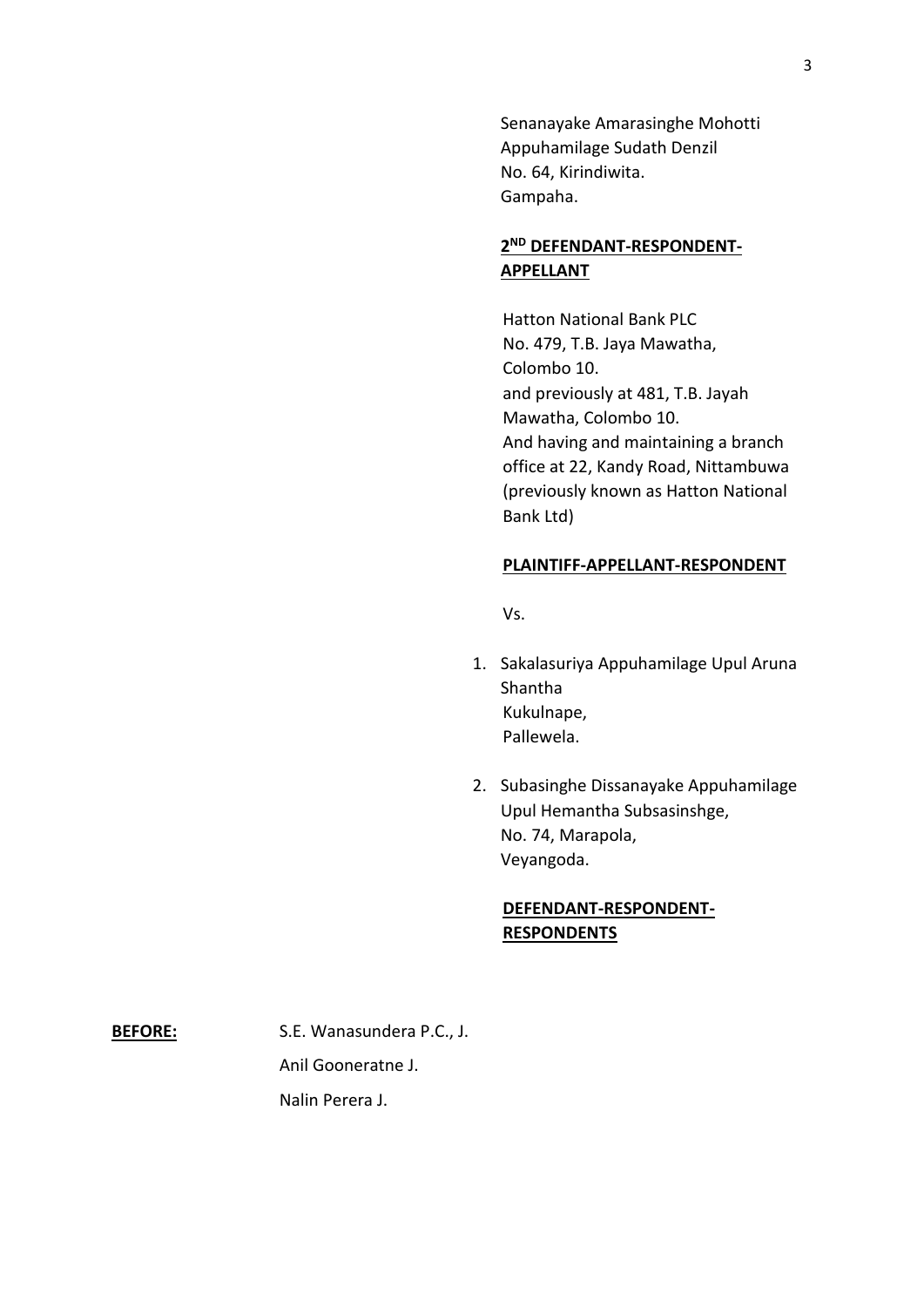Senanayake Amarasinghe Mohotti Appuhamilage Sudath Denzil No. 64, Kirindiwita. Gampaha.

# **2 ND DEFENDANT-RESPONDENT-APPELLANT**

Hatton National Bank PLC No. 479, T.B. Jaya Mawatha, Colombo 10. and previously at 481, T.B. Jayah Mawatha, Colombo 10. And having and maintaining a branch office at 22, Kandy Road, Nittambuwa (previously known as Hatton National Bank Ltd)

## **PLAINTIFF-APPELLANT-RESPONDENT**

Vs.

- 1. Sakalasuriya Appuhamilage Upul Aruna Shantha Kukulnape, Pallewela.
- 2. Subasinghe Dissanayake Appuhamilage Upul Hemantha Subsasinshge, No. 74, Marapola, Veyangoda.

# **DEFENDANT-RESPONDENT-RESPONDENTS**

**BEFORE:** S.E. Wanasundera P.C., J.

Anil Gooneratne J.

Nalin Perera J.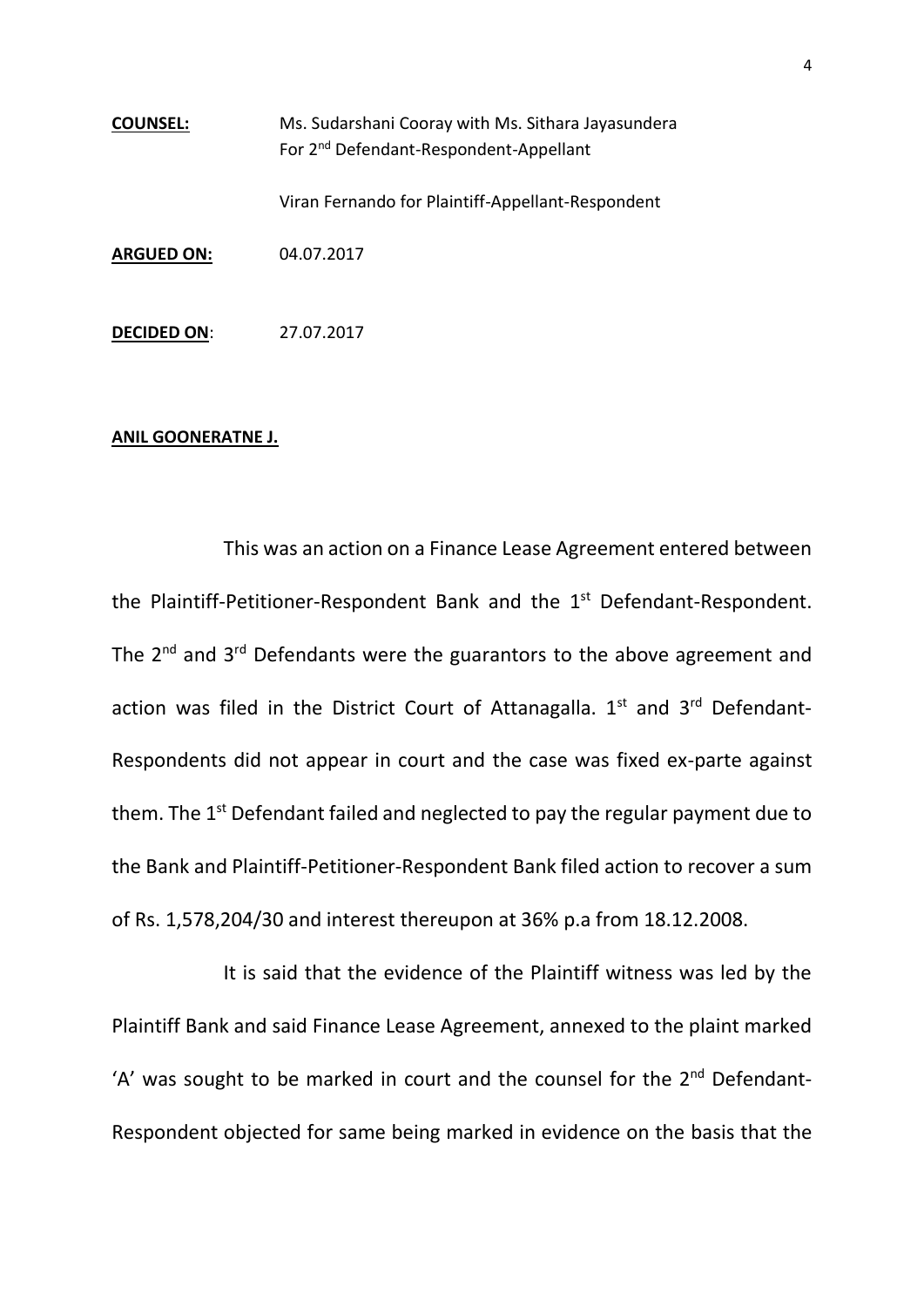| <b>COUNSEL:</b>   | Ms. Sudarshani Cooray with Ms. Sithara Jayasundera<br>For 2 <sup>nd</sup> Defendant-Respondent-Appellant |
|-------------------|----------------------------------------------------------------------------------------------------------|
|                   | Viran Fernando for Plaintiff-Appellant-Respondent                                                        |
| <b>ARGUED ON:</b> | 04.07.2017                                                                                               |
| DECIDED ON:       | 27.07.2017                                                                                               |

#### **ANIL GOONERATNE J.**

This was an action on a Finance Lease Agreement entered between the Plaintiff-Petitioner-Respondent Bank and the 1<sup>st</sup> Defendant-Respondent. The  $2^{nd}$  and  $3^{rd}$  Defendants were the guarantors to the above agreement and action was filed in the District Court of Attanagalla.  $1<sup>st</sup>$  and  $3<sup>rd</sup>$  Defendant-Respondents did not appear in court and the case was fixed ex-parte against them. The 1<sup>st</sup> Defendant failed and neglected to pay the regular payment due to the Bank and Plaintiff-Petitioner-Respondent Bank filed action to recover a sum of Rs. 1,578,204/30 and interest thereupon at 36% p.a from 18.12.2008.

It is said that the evidence of the Plaintiff witness was led by the Plaintiff Bank and said Finance Lease Agreement, annexed to the plaint marked 'A' was sought to be marked in court and the counsel for the  $2^{nd}$  Defendant-Respondent objected for same being marked in evidence on the basis that the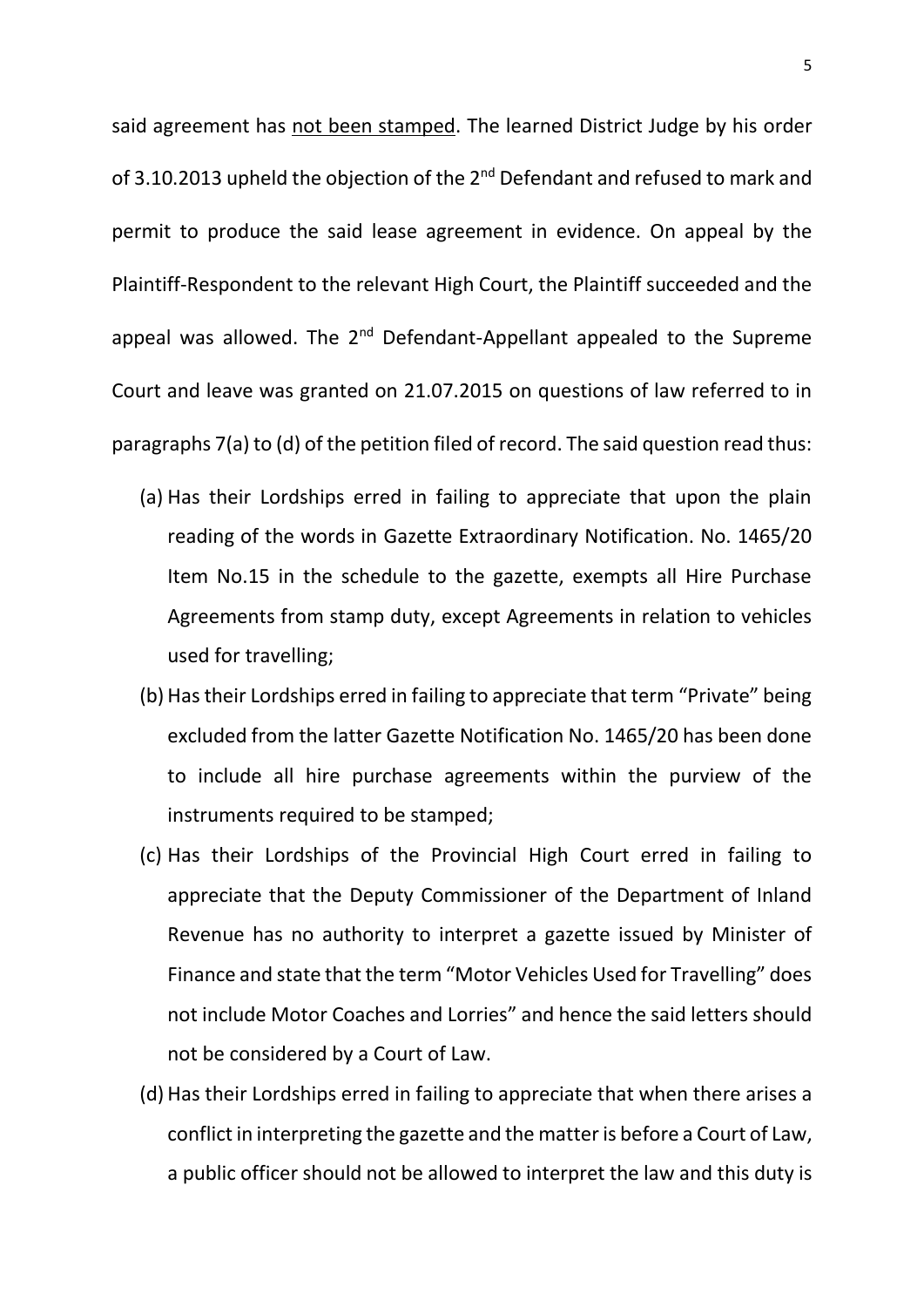said agreement has not been stamped. The learned District Judge by his order of 3.10.2013 upheld the objection of the  $2^{nd}$  Defendant and refused to mark and permit to produce the said lease agreement in evidence. On appeal by the Plaintiff-Respondent to the relevant High Court, the Plaintiff succeeded and the appeal was allowed. The 2<sup>nd</sup> Defendant-Appellant appealed to the Supreme Court and leave was granted on 21.07.2015 on questions of law referred to in paragraphs 7(a) to (d) of the petition filed of record. The said question read thus:

- (a) Has their Lordships erred in failing to appreciate that upon the plain reading of the words in Gazette Extraordinary Notification. No. 1465/20 Item No.15 in the schedule to the gazette, exempts all Hire Purchase Agreements from stamp duty, except Agreements in relation to vehicles used for travelling;
- (b) Has their Lordships erred in failing to appreciate that term "Private" being excluded from the latter Gazette Notification No. 1465/20 has been done to include all hire purchase agreements within the purview of the instruments required to be stamped;
- (c) Has their Lordships of the Provincial High Court erred in failing to appreciate that the Deputy Commissioner of the Department of Inland Revenue has no authority to interpret a gazette issued by Minister of Finance and state that the term "Motor Vehicles Used for Travelling" does not include Motor Coaches and Lorries" and hence the said letters should not be considered by a Court of Law.
- (d) Has their Lordships erred in failing to appreciate that when there arises a conflict in interpreting the gazette and the matter is before a Court of Law, a public officer should not be allowed to interpret the law and this duty is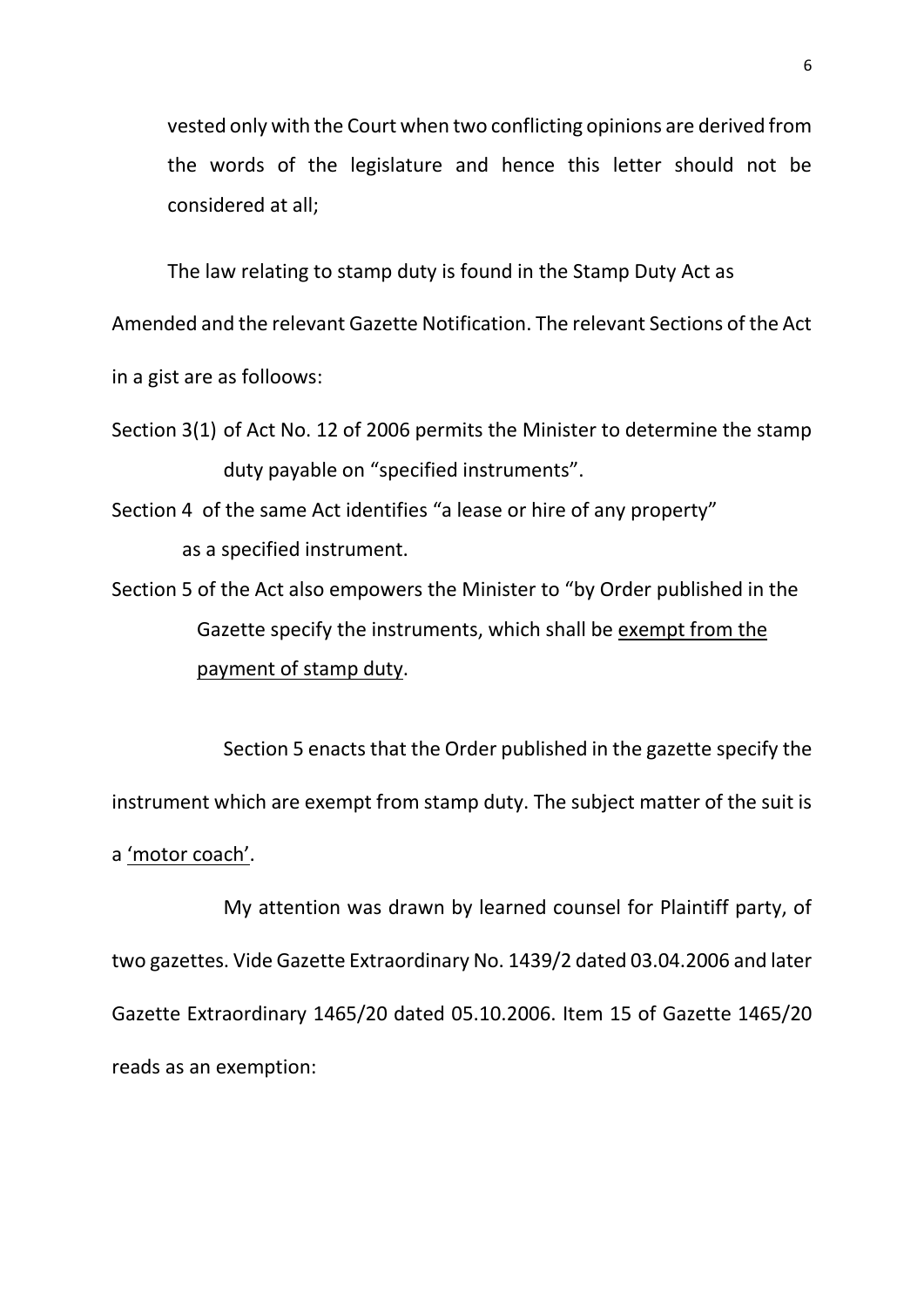vested only with the Court when two conflicting opinions are derived from the words of the legislature and hence this letter should not be considered at all;

The law relating to stamp duty is found in the Stamp Duty Act as

Amended and the relevant Gazette Notification. The relevant Sections of the Act

in a gist are as folloows:

Section 3(1) of Act No. 12 of 2006 permits the Minister to determine the stamp duty payable on "specified instruments".

Section 4 of the same Act identifies "a lease or hire of any property" as a specified instrument.

Section 5 of the Act also empowers the Minister to "by Order published in the Gazette specify the instruments, which shall be exempt from the payment of stamp duty.

Section 5 enacts that the Order published in the gazette specify the instrument which are exempt from stamp duty. The subject matter of the suit is a 'motor coach'.

My attention was drawn by learned counsel for Plaintiff party, of two gazettes. Vide Gazette Extraordinary No. 1439/2 dated 03.04.2006 and later Gazette Extraordinary 1465/20 dated 05.10.2006. Item 15 of Gazette 1465/20 reads as an exemption: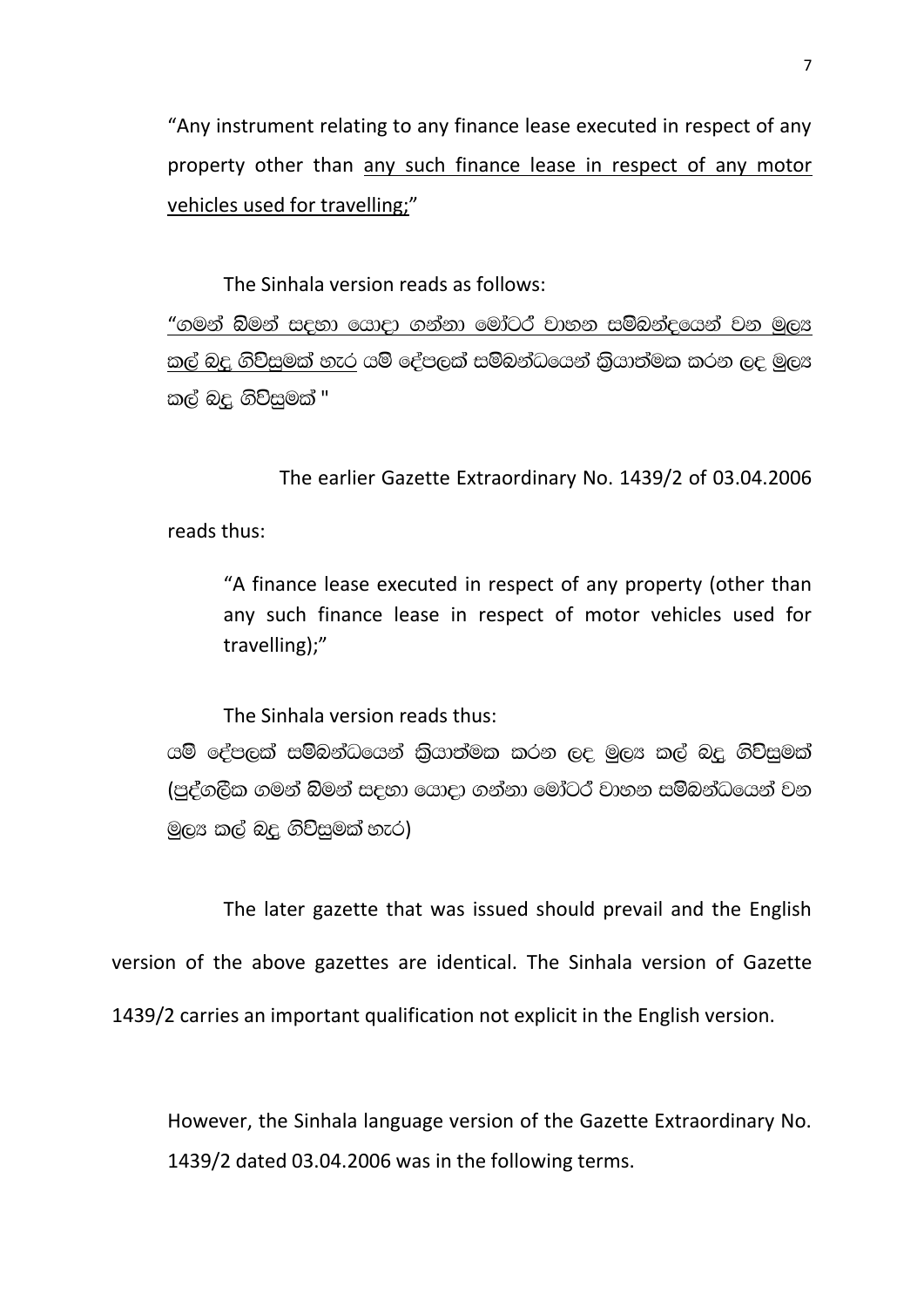"Any instrument relating to any finance lease executed in respect of any property other than any such finance lease in respect of any motor vehicles used for travelling;"

The Sinhala version reads as follows:

"ගමන් බිමන් සදහා යොදා ගන්නා මෝටර් වාහන සම්බන්දයෙන් වන මුල¤ කල් බදු ගිව්සුමක් හැර යම් දේපලක් සම්බන්ධයෙන් කියාත්මක කරන ලද මුලූ කල් බදු ගිවිසුමක් "

The earlier Gazette Extraordinary No. 1439/2 of 03.04.2006 reads thus:

"A finance lease executed in respect of any property (other than any such finance lease in respect of motor vehicles used for travelling);"

The Sinhala version reads thus:

යම් දේපලක් සම්බන්ධයෙන් කියාත්මක කරන ලද මුල¤ කල් බදු ගිව්සුමක් (පුද්ගලීක ගමන් ඩිමන් සදහා යොදා ගන්නා මෝටර් වාහන සම්බන්ධයෙන් වන මුල¤ කල් බදු ගිවිසුමක් හැර)

The later gazette that was issued should prevail and the English version of the above gazettes are identical. The Sinhala version of Gazette 1439/2 carries an important qualification not explicit in the English version.

However, the Sinhala language version of the Gazette Extraordinary No. 1439/2 dated 03.04.2006 was in the following terms.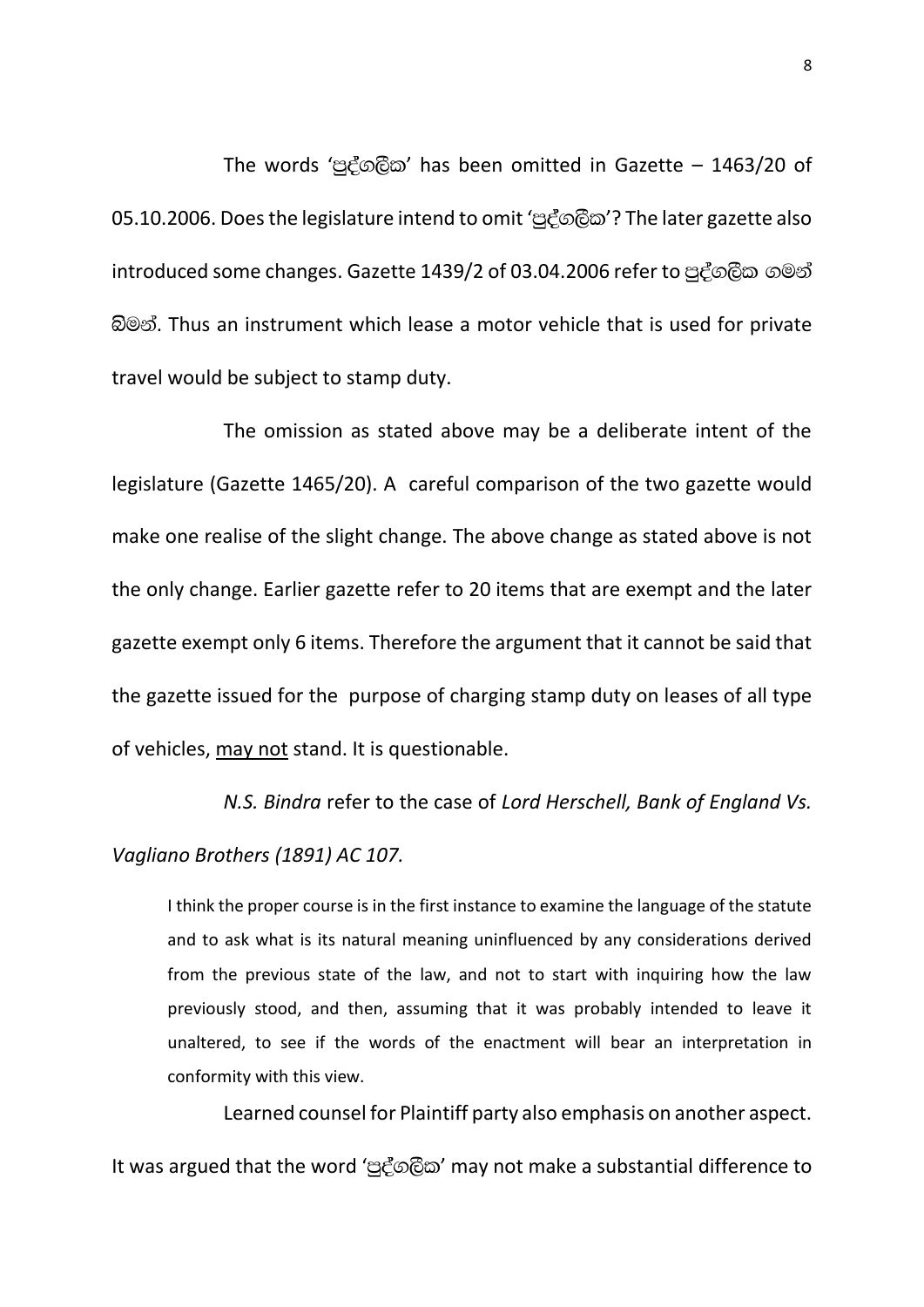The words 'පුද්ගලීක' has been omitted in Gazette – 1463/20 of 05.10.2006. Does the legislature intend to omit 'පුද්ගලීක'? The later gazette also introduced some changes. Gazette 1439/2 of 03.04.2006 refer to පුද්ගලීක ගමන් බිමන්. Thus an instrument which lease a motor vehicle that is used for private travel would be subject to stamp duty.

The omission as stated above may be a deliberate intent of the legislature (Gazette 1465/20). A careful comparison of the two gazette would make one realise of the slight change. The above change as stated above is not the only change. Earlier gazette refer to 20 items that are exempt and the later gazette exempt only 6 items. Therefore the argument that it cannot be said that the gazette issued for the purpose of charging stamp duty on leases of all type of vehicles, may not stand. It is questionable.

*N.S. Bindra* refer to the case of *Lord Herschell, Bank of England Vs.* 

## *Vagliano Brothers (1891) AC 107.*

I think the proper course is in the first instance to examine the language of the statute and to ask what is its natural meaning uninfluenced by any considerations derived from the previous state of the law, and not to start with inquiring how the law previously stood, and then, assuming that it was probably intended to leave it unaltered, to see if the words of the enactment will bear an interpretation in conformity with this view.

Learned counsel for Plaintiff party also emphasis on another aspect. It was argued that the word 'පුද්ගලීක' may not make a substantial difference to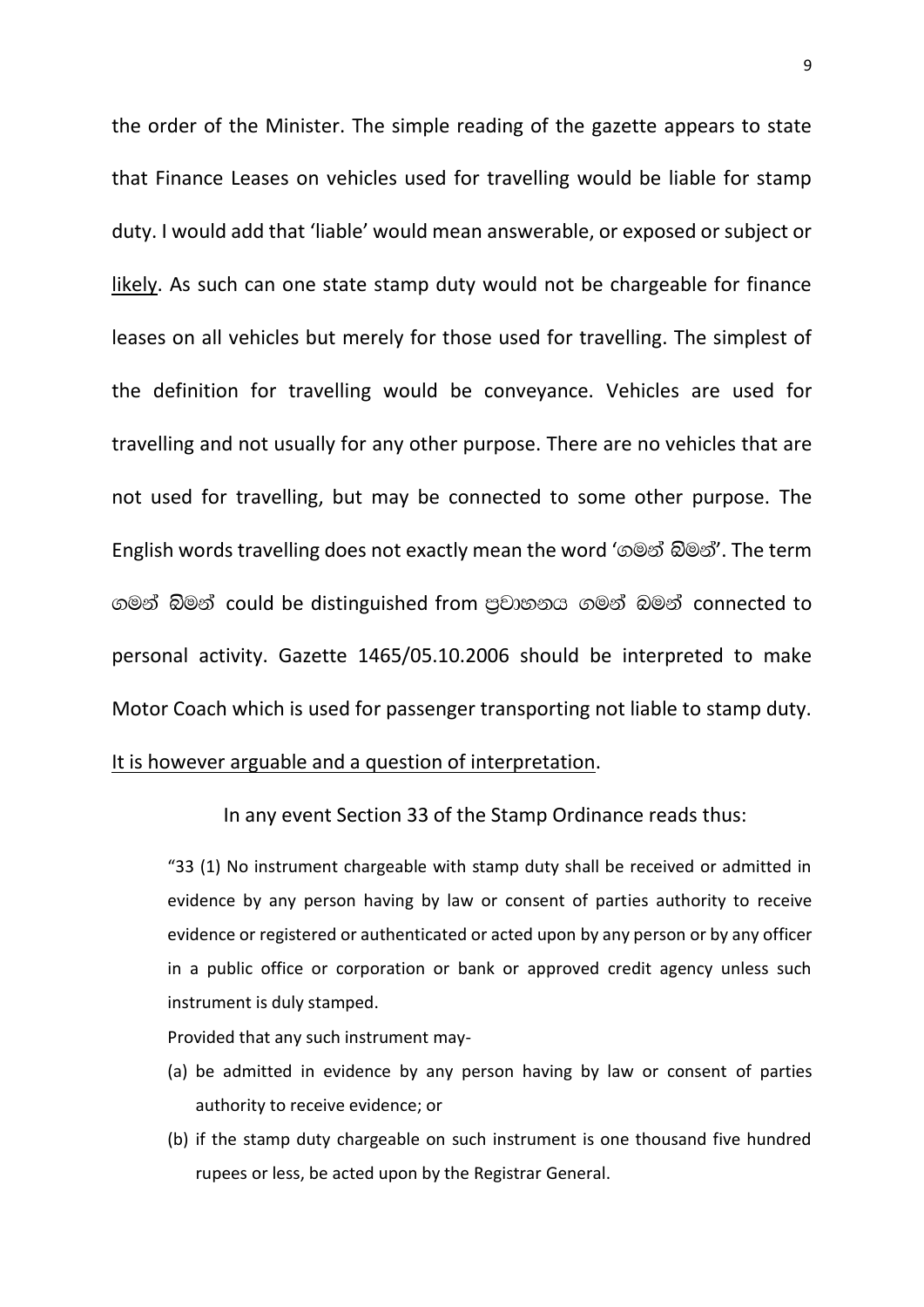the order of the Minister. The simple reading of the gazette appears to state that Finance Leases on vehicles used for travelling would be liable for stamp duty. I would add that 'liable' would mean answerable, or exposed or subject or likely. As such can one state stamp duty would not be chargeable for finance leases on all vehicles but merely for those used for travelling. The simplest of the definition for travelling would be conveyance. Vehicles are used for travelling and not usually for any other purpose. There are no vehicles that are not used for travelling, but may be connected to some other purpose. The English words travelling does not exactly mean the word 'ගමන් බිමන්'. The term ගමන් බිමන් could be distinguished from පුවාහනය ගමන් බමන් connected to personal activity. Gazette 1465/05.10.2006 should be interpreted to make Motor Coach which is used for passenger transporting not liable to stamp duty.

# It is however arguable and a question of interpretation.

In any event Section 33 of the Stamp Ordinance reads thus:

"33 (1) No instrument chargeable with stamp duty shall be received or admitted in evidence by any person having by law or consent of parties authority to receive evidence or registered or authenticated or acted upon by any person or by any officer in a public office or corporation or bank or approved credit agency unless such instrument is duly stamped.

Provided that any such instrument may-

- (a) be admitted in evidence by any person having by law or consent of parties authority to receive evidence; or
- (b) if the stamp duty chargeable on such instrument is one thousand five hundred rupees or less, be acted upon by the Registrar General.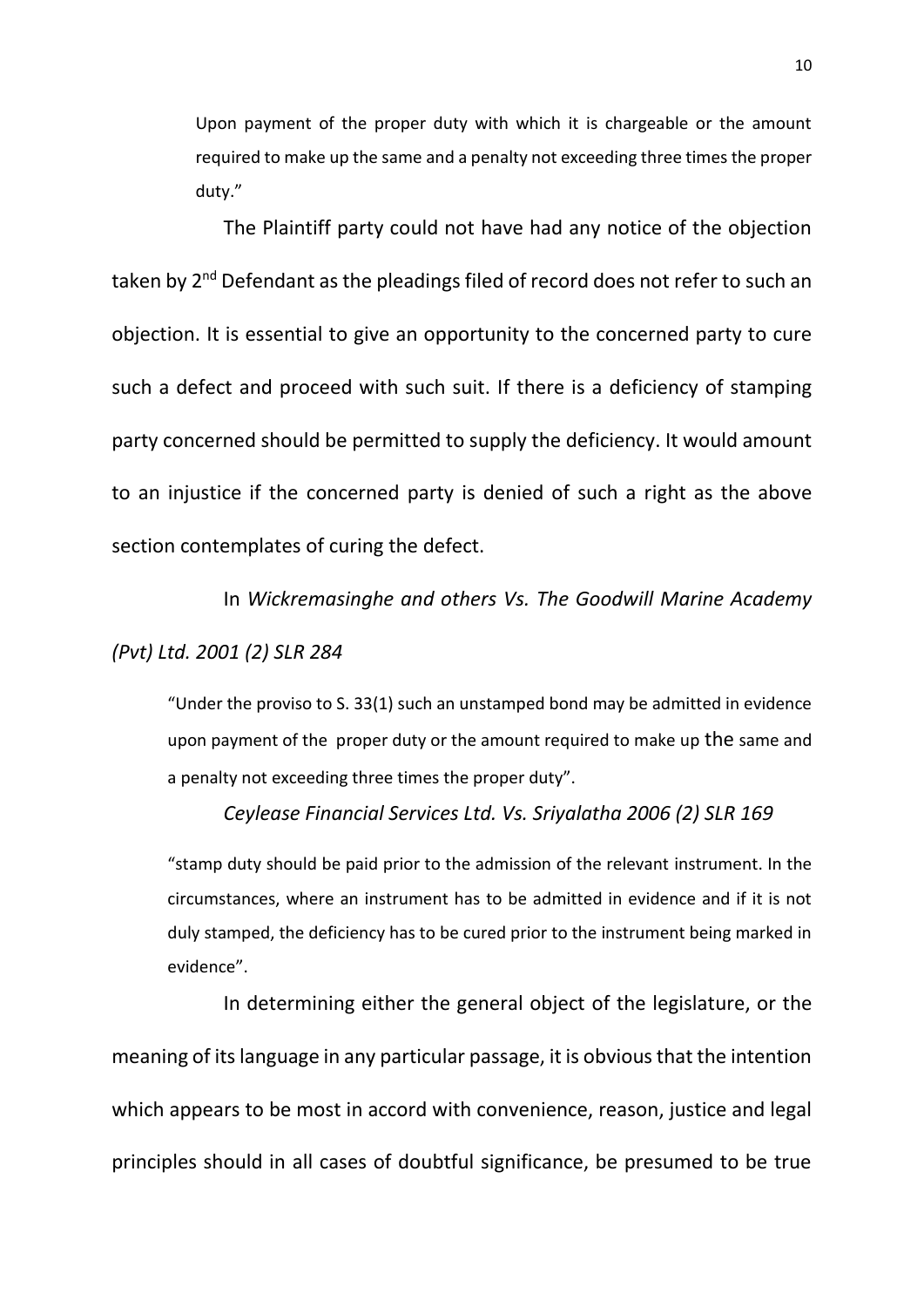Upon payment of the proper duty with which it is chargeable or the amount required to make up the same and a penalty not exceeding three times the proper duty."

The Plaintiff party could not have had any notice of the objection taken by 2<sup>nd</sup> Defendant as the pleadings filed of record does not refer to such an objection. It is essential to give an opportunity to the concerned party to cure such a defect and proceed with such suit. If there is a deficiency of stamping party concerned should be permitted to supply the deficiency. It would amount to an injustice if the concerned party is denied of such a right as the above section contemplates of curing the defect.

In *Wickremasinghe and others Vs. The Goodwill Marine Academy* 

## *(Pvt) Ltd. 2001 (2) SLR 284*

"Under the proviso to S. 33(1) such an unstamped bond may be admitted in evidence upon payment of the proper duty or the amount required to make up the same and a penalty not exceeding three times the proper duty".

*Ceylease Financial Services Ltd. Vs. Sriyalatha 2006 (2) SLR 169* 

"stamp duty should be paid prior to the admission of the relevant instrument. In the circumstances, where an instrument has to be admitted in evidence and if it is not duly stamped, the deficiency has to be cured prior to the instrument being marked in evidence".

In determining either the general object of the legislature, or the meaning of its language in any particular passage, it is obvious that the intention which appears to be most in accord with convenience, reason, justice and legal principles should in all cases of doubtful significance, be presumed to be true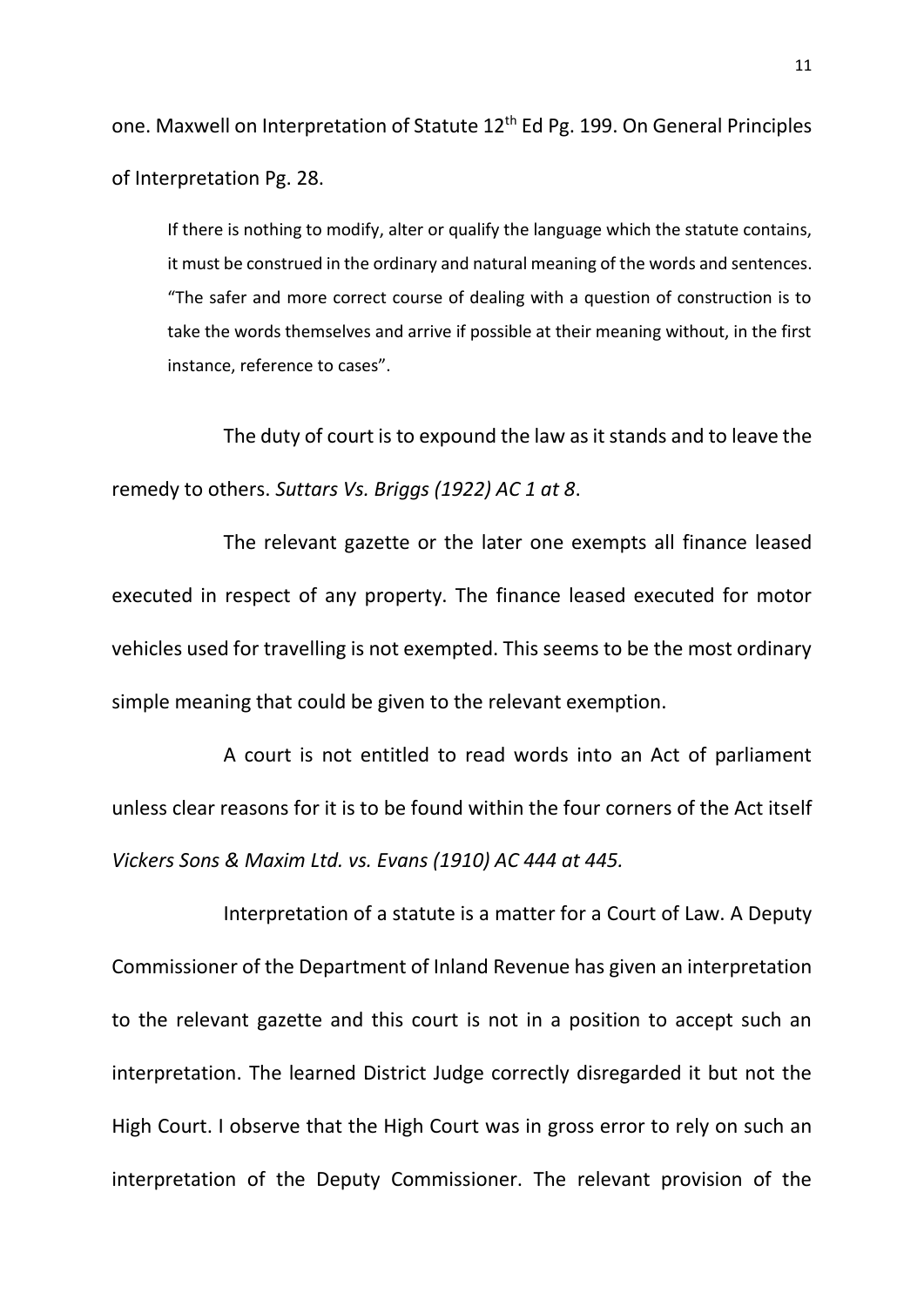one. Maxwell on Interpretation of Statute 12<sup>th</sup> Ed Pg. 199. On General Principles of Interpretation Pg. 28.

If there is nothing to modify, alter or qualify the language which the statute contains, it must be construed in the ordinary and natural meaning of the words and sentences. "The safer and more correct course of dealing with a question of construction is to take the words themselves and arrive if possible at their meaning without, in the first instance, reference to cases".

The duty of court is to expound the law as it stands and to leave the remedy to others. *Suttars Vs. Briggs (1922) AC 1 at 8*.

The relevant gazette or the later one exempts all finance leased executed in respect of any property. The finance leased executed for motor vehicles used for travelling is not exempted. This seems to be the most ordinary simple meaning that could be given to the relevant exemption.

A court is not entitled to read words into an Act of parliament unless clear reasons for it is to be found within the four corners of the Act itself *Vickers Sons & Maxim Ltd. vs. Evans (1910) AC 444 at 445.*

Interpretation of a statute is a matter for a Court of Law. A Deputy Commissioner of the Department of Inland Revenue has given an interpretation to the relevant gazette and this court is not in a position to accept such an interpretation. The learned District Judge correctly disregarded it but not the High Court. I observe that the High Court was in gross error to rely on such an interpretation of the Deputy Commissioner. The relevant provision of the